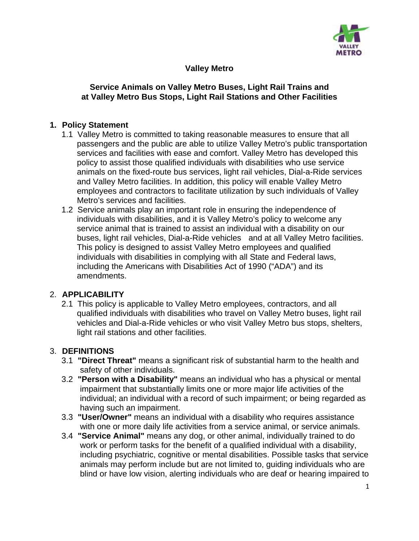

### **Valley Metro**

### **Service Animals on Valley Metro Buses, Light Rail Trains and at Valley Metro Bus Stops, Light Rail Stations and Other Facilities**

### **1. Policy Statement**

- 1.1 Valley Metro is committed to taking reasonable measures to ensure that all passengers and the public are able to utilize Valley Metro's public transportation services and facilities with ease and comfort. Valley Metro has developed this policy to assist those qualified individuals with disabilities who use service animals on the fixed-route bus services, light rail vehicles, Dial-a-Ride services and Valley Metro facilities. In addition, this policy will enable Valley Metro employees and contractors to facilitate utilization by such individuals of Valley Metro's services and facilities.
- 1.2 Service animals play an important role in ensuring the independence of individuals with disabilities, and it is Valley Metro's policy to welcome any service animal that is trained to assist an individual with a disability on our buses, light rail vehicles, Dial-a-Ride vehicles and at all Valley Metro facilities. This policy is designed to assist Valley Metro employees and qualified individuals with disabilities in complying with all State and Federal laws, including the Americans with Disabilities Act of 1990 ("ADA") and its amendments.

### 2. **APPLICABILITY**

2.1 This policy is applicable to Valley Metro employees, contractors, and all qualified individuals with disabilities who travel on Valley Metro buses, light rail vehicles and Dial-a-Ride vehicles or who visit Valley Metro bus stops, shelters, light rail stations and other facilities.

# 3. **DEFINITIONS**

- 3.1 **"Direct Threat"** means a significant risk of substantial harm to the health and safety of other individuals.
- 3.2 **"Person with a Disability"** means an individual who has a physical or mental impairment that substantially limits one or more major life activities of the individual; an individual with a record of such impairment; or being regarded as having such an impairment.
- 3.3 **"User/Owner"** means an individual with a disability who requires assistance with one or more daily life activities from a service animal, or service animals.
- 3.4 **"Service Animal"** means any dog, or other animal, individually trained to do work or perform tasks for the benefit of a qualified individual with a disability, including psychiatric, cognitive or mental disabilities. Possible tasks that service animals may perform include but are not limited to, guiding individuals who are blind or have low vision, alerting individuals who are deaf or hearing impaired to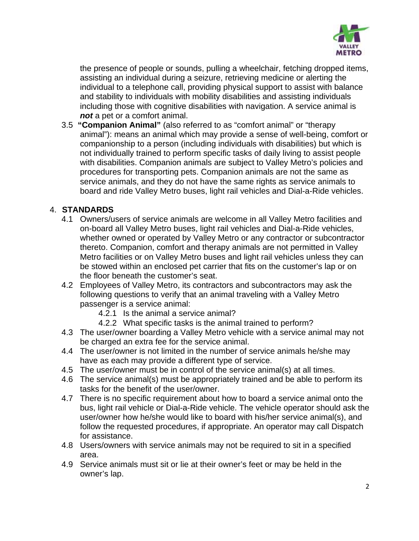

the presence of people or sounds, pulling a wheelchair, fetching dropped items, assisting an individual during a seizure, retrieving medicine or alerting the individual to a telephone call, providing physical support to assist with balance and stability to individuals with mobility disabilities and assisting individuals including those with cognitive disabilities with navigation. A service animal is *not* a pet or a comfort animal.

3.5 **"Companion Animal"** (also referred to as "comfort animal" or "therapy animal"): means an animal which may provide a sense of well-being, comfort or companionship to a person (including individuals with disabilities) but which is not individually trained to perform specific tasks of daily living to assist people with disabilities. Companion animals are subject to Valley Metro's policies and procedures for transporting pets. Companion animals are not the same as service animals, and they do not have the same rights as service animals to board and ride Valley Metro buses, light rail vehicles and Dial-a-Ride vehicles.

### 4. **STANDARDS**

- 4.1 Owners/users of service animals are welcome in all Valley Metro facilities and on-board all Valley Metro buses, light rail vehicles and Dial-a-Ride vehicles, whether owned or operated by Valley Metro or any contractor or subcontractor thereto. Companion, comfort and therapy animals are not permitted in Valley Metro facilities or on Valley Metro buses and light rail vehicles unless they can be stowed within an enclosed pet carrier that fits on the customer's lap or on the floor beneath the customer's seat.
- 4.2 Employees of Valley Metro, its contractors and subcontractors may ask the following questions to verify that an animal traveling with a Valley Metro passenger is a service animal:
	- 4.2.1 Is the animal a service animal?
	- 4.2.2 What specific tasks is the animal trained to perform?
- 4.3 The user/owner boarding a Valley Metro vehicle with a service animal may not be charged an extra fee for the service animal.
- 4.4 The user/owner is not limited in the number of service animals he/she may have as each may provide a different type of service.
- 4.5 The user/owner must be in control of the service animal(s) at all times.
- 4.6 The service animal(s) must be appropriately trained and be able to perform its tasks for the benefit of the user/owner.
- 4.7 There is no specific requirement about how to board a service animal onto the bus, light rail vehicle or Dial-a-Ride vehicle. The vehicle operator should ask the user/owner how he/she would like to board with his/her service animal(s), and follow the requested procedures, if appropriate. An operator may call Dispatch for assistance.
- 4.8 Users/owners with service animals may not be required to sit in a specified area.
- 4.9 Service animals must sit or lie at their owner's feet or may be held in the owner's lap.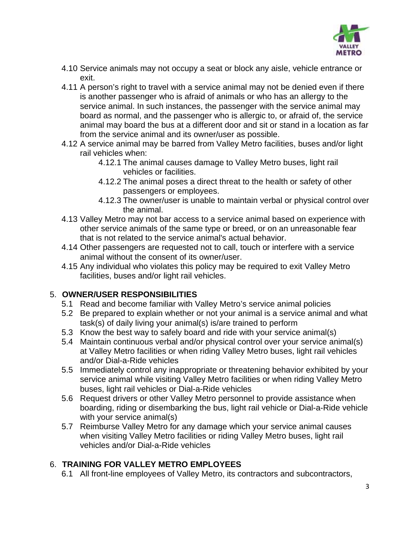

- 4.10 Service animals may not occupy a seat or block any aisle, vehicle entrance or exit.
- 4.11 A person's right to travel with a service animal may not be denied even if there is another passenger who is afraid of animals or who has an allergy to the service animal. In such instances, the passenger with the service animal may board as normal, and the passenger who is allergic to, or afraid of, the service animal may board the bus at a different door and sit or stand in a location as far from the service animal and its owner/user as possible.
- 4.12 A service animal may be barred from Valley Metro facilities, buses and/or light rail vehicles when:
	- 4.12.1 The animal causes damage to Valley Metro buses, light rail vehicles or facilities.
	- 4.12.2 The animal poses a direct threat to the health or safety of other passengers or employees.
	- 4.12.3 The owner/user is unable to maintain verbal or physical control over the animal.
- 4.13 Valley Metro may not bar access to a service animal based on experience with other service animals of the same type or breed, or on an unreasonable fear that is not related to the service animal's actual behavior.
- 4.14 Other passengers are requested not to call, touch or interfere with a service animal without the consent of its owner/user.
- 4.15 Any individual who violates this policy may be required to exit Valley Metro facilities, buses and/or light rail vehicles.

# 5. **OWNER/USER RESPONSIBILITIES**

- 5.1 Read and become familiar with Valley Metro's service animal policies
- 5.2 Be prepared to explain whether or not your animal is a service animal and what task(s) of daily living your animal(s) is/are trained to perform
- 5.3 Know the best way to safely board and ride with your service animal(s)
- 5.4 Maintain continuous verbal and/or physical control over your service animal(s) at Valley Metro facilities or when riding Valley Metro buses, light rail vehicles and/or Dial-a-Ride vehicles
- 5.5 Immediately control any inappropriate or threatening behavior exhibited by your service animal while visiting Valley Metro facilities or when riding Valley Metro buses, light rail vehicles or Dial-a-Ride vehicles
- 5.6 Request drivers or other Valley Metro personnel to provide assistance when boarding, riding or disembarking the bus, light rail vehicle or Dial-a-Ride vehicle with your service animal(s)
- 5.7 Reimburse Valley Metro for any damage which your service animal causes when visiting Valley Metro facilities or riding Valley Metro buses, light rail vehicles and/or Dial-a-Ride vehicles

# 6. **TRAINING FOR VALLEY METRO EMPLOYEES**

6.1 All front-line employees of Valley Metro, its contractors and subcontractors,